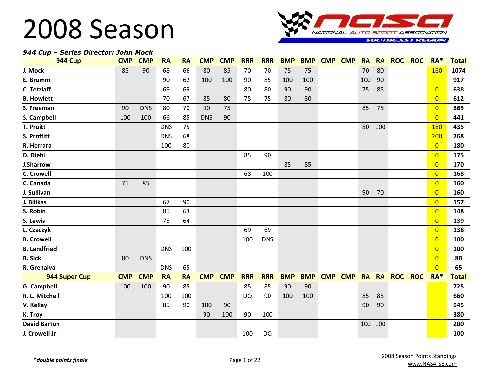

#### *944 Cup – Series Director: John Mock*

| <b>944 Cup</b>      | <b>CMP</b> | <b>CMP</b> | <b>RA</b>  | <b>RA</b> | <b>CMP</b> | <b>CMP</b> | <b>RRR</b> | <b>RRR</b> | <b>BMP</b> | <b>BMP</b> | <b>CMP</b> | <b>CMP</b> | <b>RA</b> | <b>RA</b> | <b>ROC</b> | <b>ROC</b> | $RA*$          | <b>Total</b> |
|---------------------|------------|------------|------------|-----------|------------|------------|------------|------------|------------|------------|------------|------------|-----------|-----------|------------|------------|----------------|--------------|
| J. Mock             | 85         | 90         | 68         | 66        | 80         | 85         | 70         | 70         | 75         | 75         |            |            | 70        | 80        |            |            | 160            | 1074         |
| E. Brumm            |            |            | 90         | 62        | 100        | 100        | 90         | 85         | 100        | 100        |            |            | 100       | 90        |            |            |                | 917          |
| C. Tetzlaff         |            |            | 69         | 69        |            |            | 80         | 80         | 90         | 90         |            |            | 75        | 85        |            |            | $\overline{0}$ | 638          |
| <b>B. Howlett</b>   |            |            | 70         | 67        | 85         | 80         | 75         | 75         | 80         | 80         |            |            |           |           |            |            | $\overline{0}$ | 612          |
| S. Freeman          | 90         | <b>DNS</b> | 80         | 70        | 90         | 75         |            |            |            |            |            |            | 85        | 75        |            |            | $\overline{0}$ | 565          |
| S. Campbell         | 100        | 100        | 66         | 85        | <b>DNS</b> | 90         |            |            |            |            |            |            |           |           |            |            | $\overline{0}$ | 441          |
| T. Pruitt           |            |            | <b>DNS</b> | 75        |            |            |            |            |            |            |            |            | 80        | 100       |            |            | 180            | 435          |
| S. Proffitt         |            |            | <b>DNS</b> | 68        |            |            |            |            |            |            |            |            |           |           |            |            | 200            | 268          |
| R. Herrara          |            |            | 100        | 80        |            |            |            |            |            |            |            |            |           |           |            |            | $\overline{0}$ | 180          |
| D. Diehl            |            |            |            |           |            |            | 85         | 90         |            |            |            |            |           |           |            |            | $\overline{0}$ | 175          |
| <b>J.Sharrow</b>    |            |            |            |           |            |            |            |            | 85         | 85         |            |            |           |           |            |            | $\overline{0}$ | 170          |
| <b>C. Crowell</b>   |            |            |            |           |            |            | 68         | 100        |            |            |            |            |           |           |            |            | $\overline{0}$ | 168          |
| C. Canada           | 75         | 85         |            |           |            |            |            |            |            |            |            |            |           |           |            |            | $\overline{0}$ | 160          |
| J. Sullivan         |            |            |            |           |            |            |            |            |            |            |            |            | 90        | 70        |            |            | $\overline{0}$ | 160          |
| J. Bilikas          |            |            | 67         | 90        |            |            |            |            |            |            |            |            |           |           |            |            | $\overline{0}$ | 157          |
| S. Robin            |            |            | 85         | 63        |            |            |            |            |            |            |            |            |           |           |            |            | $\overline{0}$ | 148          |
| S. Lewis            |            |            | 75         | 64        |            |            |            |            |            |            |            |            |           |           |            |            | $\overline{0}$ | 139          |
| L. Czaczyk          |            |            |            |           |            |            | 69         | 69         |            |            |            |            |           |           |            |            | $\overline{0}$ | 138          |
| <b>B. Crowell</b>   |            |            |            |           |            |            | 100        | <b>DNS</b> |            |            |            |            |           |           |            |            | $\overline{0}$ | 100          |
| <b>B.</b> Landfried |            |            | <b>DNS</b> | 100       |            |            |            |            |            |            |            |            |           |           |            |            | $\overline{0}$ | 100          |
| <b>B.</b> Sick      | 80         | <b>DNS</b> |            |           |            |            |            |            |            |            |            |            |           |           |            |            | $\overline{0}$ | 80           |
| R. Grehalva         |            |            | <b>DNS</b> | 65        |            |            |            |            |            |            |            |            |           |           |            |            | $\overline{0}$ | 65           |
| 944 Super Cup       | <b>CMP</b> | <b>CMP</b> | <b>RA</b>  | <b>RA</b> | <b>CMP</b> | <b>CMP</b> | <b>RRR</b> | <b>RRR</b> | <b>BMP</b> | <b>BMP</b> | <b>CMP</b> | <b>CMP</b> |           | RA RA     | <b>ROC</b> | <b>ROC</b> | $RA*$          | <b>Total</b> |
| <b>G. Campbell</b>  | 100        | 100        | 90         | 85        |            |            | 85         | 85         | 90         | 90         |            |            |           |           |            |            |                | 725          |
| R. L. Mitchell      |            |            | 100        | 100       |            |            | <b>DQ</b>  | 90         | 100        | 100        |            |            | 85        | 85        |            |            |                | 660          |
| V. Kelley           |            |            | 85         | 90        | 100        | 90         |            |            |            |            |            |            | 90        | 90        |            |            |                | 545          |
| K. Troy             |            |            |            |           | 90         | 100        | 90         | 100        |            |            |            |            |           |           |            |            |                | 380          |
| <b>David Barton</b> |            |            |            |           |            |            |            |            |            |            |            |            |           | 100 100   |            |            |                | 200          |
| J. Crowell Jr.      |            |            |            |           |            |            | 100        | <b>DQ</b>  |            |            |            |            |           |           |            |            |                | 100          |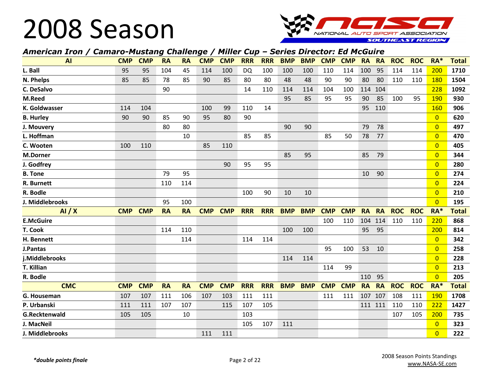

#### *American Iron / Camaro-Mustang Challenge / Miller Cup – Series Director: Ed McGuire*

| <b>AI</b>        | <b>CMP</b> | <b>CMP</b> | <b>RA</b> | <b>RA</b> | <b>CMP</b> | <b>CMP</b> | <b>RRR</b> | <b>RRR</b> | <b>BMP</b> | <b>BMP</b> | <b>CMP</b> | <b>CMP</b> | <b>RA</b> | <b>RA</b> | <b>ROC</b> | <b>ROC</b> | RA*            | <b>Total</b> |
|------------------|------------|------------|-----------|-----------|------------|------------|------------|------------|------------|------------|------------|------------|-----------|-----------|------------|------------|----------------|--------------|
| L. Ball          | 95         | 95         | 104       | 45        | 114        | 100        | DQ         | 100        | 100        | 100        | 110        | 114        | 100       | 95        | 114        | 114        | 200            | 1710         |
| N. Phelps        | 85         | 85         | 78        | 85        | 90         | 85         | 80         | 80         | 48         | 48         | 90         | 90         | 80        | 80        | 110        | 110        | 180            | 1504         |
| C. DeSalvo       |            |            | 90        |           |            |            | 14         | 110        | 114        | 114        | 104        | 100        | 114       | 104       |            |            | 228            | 1092         |
| M.Reed           |            |            |           |           |            |            |            |            | 95         | 85         | 95         | 95         | 90        | 85        | 100        | 95         | 190            | 930          |
| K. Goldwasser    | 114        | 104        |           |           | 100        | 99         | 110        | 14         |            |            |            |            | 95        | 110       |            |            | 160            | 906          |
| <b>B. Hurley</b> | 90         | 90         | 85        | 90        | 95         | 80         | 90         |            |            |            |            |            |           |           |            |            | $\overline{0}$ | 620          |
| J. Mouvery       |            |            | 80        | 80        |            |            |            |            | 90         | 90         |            |            | 79        | 78        |            |            | $\overline{0}$ | 497          |
| L. Hoffman       |            |            |           | 10        |            |            | 85         | 85         |            |            | 85         | 50         | 78        | 77        |            |            | $\overline{0}$ | 470          |
| C. Wooten        | 100        | 110        |           |           | 85         | 110        |            |            |            |            |            |            |           |           |            |            | $\overline{0}$ | 405          |
| <b>M.Dorner</b>  |            |            |           |           |            |            |            |            | 85         | 95         |            |            | 85        | 79        |            |            | $\overline{0}$ | 344          |
| J. Godfrey       |            |            |           |           |            | 90         | 95         | 95         |            |            |            |            |           |           |            |            | $\overline{0}$ | 280          |
| <b>B.</b> Tone   |            |            | 79        | 95        |            |            |            |            |            |            |            |            | 10        | 90        |            |            | $\overline{0}$ | 274          |
| R. Burnett       |            |            | 110       | 114       |            |            |            |            |            |            |            |            |           |           |            |            | $\overline{0}$ | 224          |
| R. Bodle         |            |            |           |           |            |            | 100        | 90         | 10         | 10         |            |            |           |           |            |            | $\overline{0}$ | 210          |
| J. Middlebrooks  |            |            | 95        | 100       |            |            |            |            |            |            |            |            |           |           |            |            | $\overline{0}$ | 195          |
| AI/X             | <b>CMP</b> | <b>CMP</b> | <b>RA</b> | <b>RA</b> | <b>CMP</b> | <b>CMP</b> | <b>RRR</b> | <b>RRR</b> | <b>BMP</b> | <b>BMP</b> | <b>CMP</b> | <b>CMP</b> | <b>RA</b> | <b>RA</b> | <b>ROC</b> | <b>ROC</b> | RA*            | <b>Total</b> |
| <b>E.McGuire</b> |            |            |           |           |            |            |            |            |            |            | 100        | 110        | 104       | 114       | 110        | 110        | 220            | 868          |
| T. Cook          |            |            | 114       | 110       |            |            |            |            | 100        | 100        |            |            | 95        | 95        |            |            | 200            | 814          |
| H. Bennett       |            |            |           | 114       |            |            | 114        | 114        |            |            |            |            |           |           |            |            | $\overline{0}$ | 342          |
| J.Pantas         |            |            |           |           |            |            |            |            |            |            | 95         | 100        | 53        | 10        |            |            | $\overline{0}$ | 258          |
| j.Middlebrooks   |            |            |           |           |            |            |            |            | 114        | 114        |            |            |           |           |            |            | $\overline{0}$ | 228          |
| T. Killian       |            |            |           |           |            |            |            |            |            |            | 114        | 99         |           |           |            |            | $\overline{0}$ | 213          |
| R. Bodle         |            |            |           |           |            |            |            |            |            |            |            |            | 110       | 95        |            |            | $\overline{0}$ | 205          |
| <b>CMC</b>       | <b>CMP</b> | <b>CMP</b> | <b>RA</b> | <b>RA</b> | <b>CMP</b> | <b>CMP</b> | <b>RRR</b> | <b>RRR</b> | <b>BMP</b> | <b>BMP</b> | <b>CMP</b> | <b>CMP</b> | <b>RA</b> | <b>RA</b> | <b>ROC</b> | <b>ROC</b> | $RA*$          | <b>Total</b> |
| G. Houseman      | 107        | 107        | 111       | 106       | 107        | 103        | 111        | 111        |            |            | 111        | 111        | 107       | 107       | 108        | 111        | 190            | 1708         |
| P. Urbanski      | 111        | 111        | 107       | 107       |            | 115        | 107        | 105        |            |            |            |            | 111 111   |           | 110        | 110        | 222            | 1427         |
| G.Recktenwald    | 105        | 105        |           | 10        |            |            | 103        |            |            |            |            |            |           |           | 107        | 105        | 200            | 735          |
| J. MacNeil       |            |            |           |           |            |            | 105        | 107        | 111        |            |            |            |           |           |            |            | $\overline{0}$ | 323          |
| J. Middlebrooks  |            |            |           |           | 111        | 111        |            |            |            |            |            |            |           |           |            |            | $\overline{0}$ | 222          |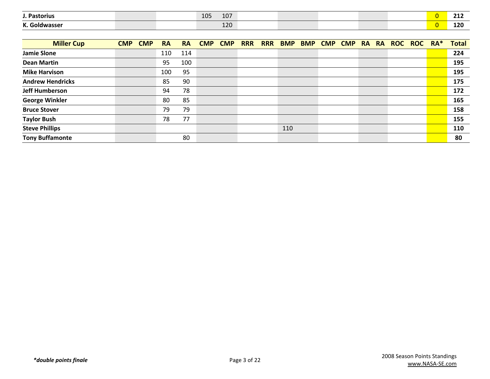| <b>Pastorius</b>                | 105<br>107<br>TO V |  |  | ---<br><u>_ _ _ _</u> |
|---------------------------------|--------------------|--|--|-----------------------|
| $\mathbf{v}$ $\mathbf{c}$<br>в. | $\sim$<br>ᅩᄼ       |  |  | 120                   |

| <b>Miller Cup</b>       | <b>CMP</b> | <b>CMP</b> | <b>RA</b> | <b>RA</b> | <b>CMP</b> | <b>CMP</b> | <b>RRR</b> | <b>RRR</b> | <b>BMP</b> | <b>BMP</b> | <b>CMP</b> | <b>CMP</b> | RA RA | ROC ROC RA* | <b>Total</b> |
|-------------------------|------------|------------|-----------|-----------|------------|------------|------------|------------|------------|------------|------------|------------|-------|-------------|--------------|
| <b>Jamie Slone</b>      |            |            | 110       | 114       |            |            |            |            |            |            |            |            |       |             | 224          |
| <b>Dean Martin</b>      |            |            | 95        | 100       |            |            |            |            |            |            |            |            |       |             | 195          |
| <b>Mike Harvison</b>    |            |            | 100       | 95        |            |            |            |            |            |            |            |            |       |             | 195          |
| <b>Andrew Hendricks</b> |            |            | 85        | 90        |            |            |            |            |            |            |            |            |       |             | 175          |
| <b>Jeff Humberson</b>   |            |            | 94        | 78        |            |            |            |            |            |            |            |            |       |             | 172          |
| <b>George Winkler</b>   |            |            | 80        | 85        |            |            |            |            |            |            |            |            |       |             | 165          |
| <b>Bruce Stover</b>     |            |            | 79        | 79        |            |            |            |            |            |            |            |            |       |             | 158          |
| <b>Taylor Bush</b>      |            |            | 78        | 77        |            |            |            |            |            |            |            |            |       |             | 155          |
| <b>Steve Phillips</b>   |            |            |           |           |            |            |            |            | 110        |            |            |            |       |             | 110          |
| <b>Tony Buffamonte</b>  |            |            |           | 80        |            |            |            |            |            |            |            |            |       |             | 80           |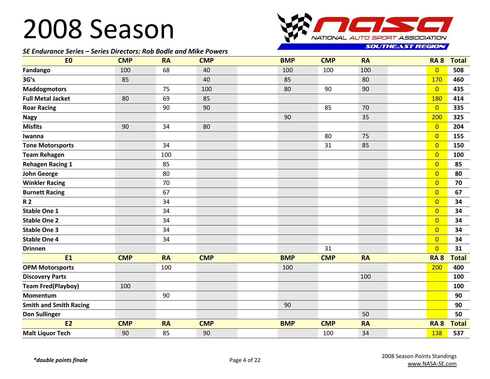#### *SE Endurance Series – Series Directors: Rob Bodle and Mike Powers*



**SOUTHEAST REGION** 

| E <sub>0</sub>                | <b>CMP</b> | <b>RA</b> | <b>CMP</b> | <b>BMP</b> | <b>CMP</b> | <b>RA</b> | <b>RA 8</b>    | <b>Total</b> |
|-------------------------------|------------|-----------|------------|------------|------------|-----------|----------------|--------------|
| Fandango                      | 100        | 68        | 40         | 100        | 100        | 100       | $\overline{0}$ | 508          |
| 3G's                          | 85         |           | 40         | 85         |            | 80        | 170            | 460          |
| <b>Maddogmotors</b>           |            | 75        | 100        | 80         | 90         | 90        | $\overline{0}$ | 435          |
| <b>Full Metal Jacket</b>      | 80         | 69        | 85         |            |            |           | 180            | 414          |
| <b>Roar Racing</b>            |            | 90        | 90         |            | 85         | 70        | $\overline{0}$ | 335          |
| <b>Nagy</b>                   |            |           |            | 90         |            | 35        | 200            | 325          |
| <b>Misfits</b>                | 90         | 34        | 80         |            |            |           | $\overline{0}$ | 204          |
| Iwanna                        |            |           |            |            | 80         | 75        | $\overline{0}$ | 155          |
| <b>Tone Motorsports</b>       |            | 34        |            |            | 31         | 85        | $\overline{0}$ | 150          |
| <b>Team Rehagen</b>           |            | 100       |            |            |            |           | $\overline{0}$ | 100          |
| <b>Rehagen Racing 1</b>       |            | 85        |            |            |            |           | $\overline{0}$ | 85           |
| <b>John George</b>            |            | 80        |            |            |            |           | $\overline{0}$ | 80           |
| <b>Winkler Racing</b>         |            | 70        |            |            |            |           | $\overline{0}$ | 70           |
| <b>Burnett Racing</b>         |            | 67        |            |            |            |           | $\overline{0}$ | 67           |
| <b>R2</b>                     |            | 34        |            |            |            |           | $\overline{0}$ | 34           |
| <b>Stable One 1</b>           |            | 34        |            |            |            |           | $\overline{0}$ | 34           |
| <b>Stable One 2</b>           |            | 34        |            |            |            |           | $\overline{0}$ | 34           |
| <b>Stable One 3</b>           |            | 34        |            |            |            |           | $\overline{0}$ | 34           |
| <b>Stable One 4</b>           |            | 34        |            |            |            |           | $\overline{0}$ | 34           |
| <b>Drinnen</b>                |            |           |            |            | 31         |           | $\overline{0}$ | 31           |
| <b>E1</b>                     | <b>CMP</b> | <b>RA</b> | <b>CMP</b> | <b>BMP</b> | <b>CMP</b> | <b>RA</b> | <b>RA 8</b>    | <b>Total</b> |
| <b>OPM Motorsports</b>        |            | 100       |            | 100        |            |           | 200            | 400          |
| <b>Discovery Parts</b>        |            |           |            |            |            | 100       |                | 100          |
| <b>Team Fred(Playboy)</b>     | 100        |           |            |            |            |           |                | 100          |
| <b>Momentum</b>               |            | 90        |            |            |            |           |                | 90           |
| <b>Smith and Smith Racing</b> |            |           |            | 90         |            |           |                | 90           |
| <b>Don Sullinger</b>          |            |           |            |            |            | 50        |                | 50           |
| <b>E2</b>                     | <b>CMP</b> | <b>RA</b> | <b>CMP</b> | <b>BMP</b> | <b>CMP</b> | <b>RA</b> | <b>RA 8</b>    | <b>Total</b> |
| <b>Malt Liquor Tech</b>       | 90         | 85        | 90         |            | 100        | 34        | 138            | 537          |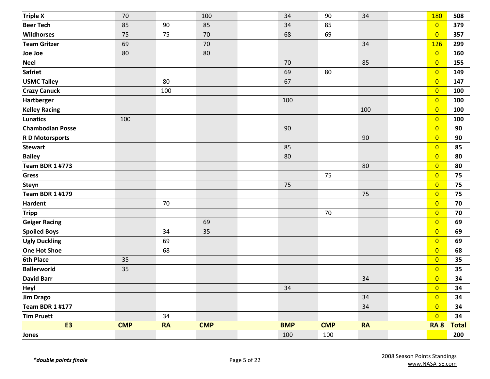| <b>Triple X</b>         | 70         |           | 100        | 34         | 90         | 34        | 180            | 508          |
|-------------------------|------------|-----------|------------|------------|------------|-----------|----------------|--------------|
| <b>Beer Tech</b>        | 85         | 90        | 85         | 34         | 85         |           | $\overline{0}$ | 379          |
| <b>Wildhorses</b>       | 75         | 75        | 70         | 68         | 69         |           | $\overline{0}$ | 357          |
| <b>Team Gritzer</b>     | 69         |           | 70         |            |            | 34        | <b>126</b>     | 299          |
| Joe Joe                 | 80         |           | 80         |            |            |           | $\overline{0}$ | 160          |
| <b>Neel</b>             |            |           |            | 70         |            | 85        | $\overline{0}$ | 155          |
| <b>Safriet</b>          |            |           |            | 69         | 80         |           | $\overline{0}$ | 149          |
| <b>USMC Talley</b>      |            | 80        |            | 67         |            |           | $\overline{0}$ | 147          |
| <b>Crazy Canuck</b>     |            | 100       |            |            |            |           | $\overline{0}$ | 100          |
| Hartberger              |            |           |            | 100        |            |           | $\overline{0}$ | 100          |
| <b>Kelley Racing</b>    |            |           |            |            |            | 100       | $\overline{0}$ | 100          |
| <b>Lunatics</b>         | 100        |           |            |            |            |           | $\overline{0}$ | 100          |
| <b>Chambodian Posse</b> |            |           |            | 90         |            |           | $\overline{0}$ | 90           |
| <b>RD Motorsports</b>   |            |           |            |            |            | 90        | $\overline{0}$ | 90           |
| <b>Stewart</b>          |            |           |            | 85         |            |           | $\overline{0}$ | 85           |
| <b>Bailey</b>           |            |           |            | 80         |            |           | $\overline{0}$ | 80           |
| <b>Team BDR 1 #773</b>  |            |           |            |            |            | 80        | $\overline{0}$ | 80           |
| <b>Gress</b>            |            |           |            |            | 75         |           | $\overline{0}$ | 75           |
| <b>Steyn</b>            |            |           |            | 75         |            |           | $\overline{0}$ | 75           |
| <b>Team BDR 1 #179</b>  |            |           |            |            |            | 75        | $\overline{0}$ | 75           |
| <b>Hardent</b>          |            | 70        |            |            |            |           | $\overline{0}$ | 70           |
| <b>Tripp</b>            |            |           |            |            | 70         |           | $\overline{0}$ | 70           |
| <b>Geiger Racing</b>    |            |           | 69         |            |            |           | $\overline{0}$ | 69           |
| <b>Spoiled Boys</b>     |            | 34        | 35         |            |            |           | $\overline{0}$ | 69           |
| <b>Ugly Duckling</b>    |            | 69        |            |            |            |           | $\overline{0}$ | 69           |
| <b>One Hot Shoe</b>     |            | 68        |            |            |            |           | $\overline{0}$ | 68           |
| <b>6th Place</b>        | 35         |           |            |            |            |           | $\overline{0}$ | 35           |
| <b>Ballerworld</b>      | 35         |           |            |            |            |           | $\overline{0}$ | 35           |
| <b>David Barr</b>       |            |           |            |            |            | 34        | $\overline{0}$ | 34           |
| Heyl                    |            |           |            | $34\,$     |            |           | $\overline{0}$ | 34           |
| <b>Jim Drago</b>        |            |           |            |            |            | 34        | $\overline{0}$ | 34           |
| <b>Team BDR 1 #177</b>  |            |           |            |            |            | 34        | $\overline{0}$ | 34           |
| <b>Tim Pruett</b>       |            | 34        |            |            |            |           | $\overline{0}$ | 34           |
| <b>E3</b>               | <b>CMP</b> | <b>RA</b> | <b>CMP</b> | <b>BMP</b> | <b>CMP</b> | <b>RA</b> | <b>RA 8</b>    | <b>Total</b> |
| Jones                   |            |           |            | 100        | 100        |           |                | 200          |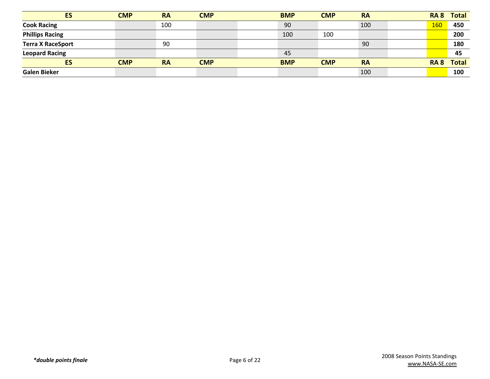| <b>ES</b>                | <b>CMP</b> | <b>RA</b> | <b>CMP</b> |  | <b>BMP</b> | <b>CMP</b> | <b>RA</b> | RA 8        | Total        |
|--------------------------|------------|-----------|------------|--|------------|------------|-----------|-------------|--------------|
| <b>Cook Racing</b>       |            | 100       |            |  | 90         |            | 100       | 160         | 450          |
| <b>Phillips Racing</b>   |            |           |            |  | 100        | 100        |           |             | 200          |
| <b>Terra X RaceSport</b> |            | 90        |            |  |            |            | 90        |             | 180          |
| <b>Leopard Racing</b>    |            |           |            |  | 45         |            |           |             | 45           |
| ES                       | <b>CMP</b> | <b>RA</b> | <b>CMP</b> |  | <b>BMP</b> | <b>CMP</b> | <b>RA</b> | <b>RA 8</b> | <b>Total</b> |
| <b>Galen Bieker</b>      |            |           |            |  |            |            | 100       |             | 100          |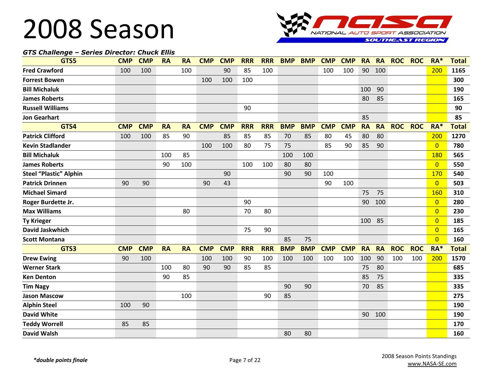

#### *GTS Challenge – Series Director: Chuck Ellis*

| GTS5                          | <b>CMP</b> | <b>CMP</b> | <b>RA</b> | <b>RA</b> | <b>CMP</b> | <b>CMP</b> | <b>RRR</b> | <b>RRR</b> | <b>BMP</b> | <b>BMP</b> | <b>CMP</b> | <b>CMP</b> | <b>RA</b> | <b>RA</b> | <b>ROC</b> | <b>ROC</b> | $RA*$          | <b>Total</b> |
|-------------------------------|------------|------------|-----------|-----------|------------|------------|------------|------------|------------|------------|------------|------------|-----------|-----------|------------|------------|----------------|--------------|
| <b>Fred Crawford</b>          | 100        | 100        |           | 100       |            | 90         | 85         | 100        |            |            | 100        | 100        | 90        | 100       |            |            | 200            | 1165         |
| <b>Forrest Bowen</b>          |            |            |           |           | 100        | 100        | 100        |            |            |            |            |            |           |           |            |            |                | 300          |
| <b>Bill Michaluk</b>          |            |            |           |           |            |            |            |            |            |            |            |            | 100       | 90        |            |            |                | 190          |
| <b>James Roberts</b>          |            |            |           |           |            |            |            |            |            |            |            |            | 80        | 85        |            |            |                | 165          |
| <b>Russell Williams</b>       |            |            |           |           |            |            | 90         |            |            |            |            |            |           |           |            |            |                | 90           |
| <b>Jon Gearhart</b>           |            |            |           |           |            |            |            |            |            |            |            |            | 85        |           |            |            |                | 85           |
| GTS4                          | <b>CMP</b> | <b>CMP</b> | <b>RA</b> | <b>RA</b> | <b>CMP</b> | <b>CMP</b> | <b>RRR</b> | <b>RRR</b> | <b>BMP</b> | <b>BMP</b> | <b>CMP</b> | <b>CMP</b> | <b>RA</b> | <b>RA</b> | <b>ROC</b> | <b>ROC</b> | RA*            | <b>Total</b> |
| <b>Patrick Clifford</b>       | 100        | 100        | 85        | 90        |            | 85         | 85         | 85         | 70         | 85         | 80         | 45         | 80        | 80        |            |            | 200            | 1270         |
| <b>Kevin Stadlander</b>       |            |            |           |           | 100        | 100        | 80         | 75         | 75         |            | 85         | 90         | 85        | 90        |            |            | $\overline{0}$ | 780          |
| <b>Bill Michaluk</b>          |            |            | 100       | 85        |            |            |            |            | 100        | 100        |            |            |           |           |            |            | 180            | 565          |
| <b>James Roberts</b>          |            |            | 90        | 100       |            |            | 100        | 100        | 80         | 80         |            |            |           |           |            |            | $\overline{0}$ | 550          |
| <b>Steel "Plastic" Alphin</b> |            |            |           |           |            | 90         |            |            | 90         | 90         | 100        |            |           |           |            |            | 170            | 540          |
| <b>Patrick Drinnen</b>        | 90         | 90         |           |           | 90         | 43         |            |            |            |            | 90         | 100        |           |           |            |            | $\overline{0}$ | 503          |
| <b>Michael Simard</b>         |            |            |           |           |            |            |            |            |            |            |            |            | 75        | 75        |            |            | 160            | 310          |
| Roger Burdette Jr.            |            |            |           |           |            |            | 90         |            |            |            |            |            | 90        | 100       |            |            | $\overline{0}$ | 280          |
| <b>Max Williams</b>           |            |            |           | 80        |            |            | 70         | 80         |            |            |            |            |           |           |            |            | $\overline{0}$ | 230          |
| <b>Ty Krieger</b>             |            |            |           |           |            |            |            |            |            |            |            |            | 100       | 85        |            |            | $\overline{0}$ | 185          |
| <b>David Jaskwhich</b>        |            |            |           |           |            |            | 75         | 90         |            |            |            |            |           |           |            |            | $\overline{0}$ | 165          |
| <b>Scott Montana</b>          |            |            |           |           |            |            |            |            | 85         | 75         |            |            |           |           |            |            | $\overline{0}$ | 160          |
| GTS3                          | <b>CMP</b> | <b>CMP</b> | <b>RA</b> | <b>RA</b> | <b>CMP</b> | <b>CMP</b> | <b>RRR</b> | <b>RRR</b> | <b>BMP</b> | <b>BMP</b> | <b>CMP</b> | <b>CMP</b> | <b>RA</b> | <b>RA</b> | <b>ROC</b> | <b>ROC</b> | RA*            | <b>Total</b> |
| <b>Drew Ewing</b>             | 90         | 100        |           |           | 100        | 100        | 90         | 100        | 100        | 100        | 100        | 100        | 100       | 90        | 100        | 100        | 200            | 1570         |
| <b>Werner Stark</b>           |            |            | 100       | 80        | 90         | 90         | 85         | 85         |            |            |            |            | 75        | 80        |            |            |                | 685          |
| <b>Ken Denton</b>             |            |            | 90        | 85        |            |            |            |            |            |            |            |            | 85        | 75        |            |            |                | 335          |
| <b>Tim Nagy</b>               |            |            |           |           |            |            |            |            | 90         | 90         |            |            | 70        | 85        |            |            |                | 335          |
| <b>Jason Mascow</b>           |            |            |           | 100       |            |            |            | 90         | 85         |            |            |            |           |           |            |            |                | 275          |
| <b>Alphin Steel</b>           | 100        | 90         |           |           |            |            |            |            |            |            |            |            |           |           |            |            |                | 190          |
| <b>David White</b>            |            |            |           |           |            |            |            |            |            |            |            |            | 90        | 100       |            |            |                | 190          |
| <b>Teddy Worrell</b>          | 85         | 85         |           |           |            |            |            |            |            |            |            |            |           |           |            |            |                | 170          |
| <b>David Walsh</b>            |            |            |           |           |            |            |            |            | 80         | 80         |            |            |           |           |            |            |                | 160          |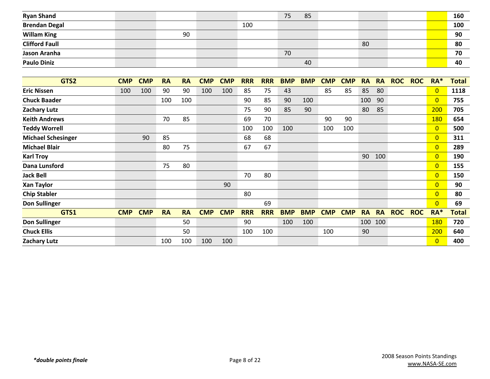| <b>Ryan Shand</b>     |    |     | 75 | 85 |    |  | 160 |
|-----------------------|----|-----|----|----|----|--|-----|
| <b>Brendan Degal</b>  |    | 100 |    |    |    |  | 100 |
| <b>Willam King</b>    | 90 |     |    |    |    |  | 90  |
| <b>Clifford Faull</b> |    |     |    |    | 80 |  | 80  |
| Jason Aranha          |    |     | 70 |    |    |  | 70  |
| <b>Paulo Diniz</b>    |    |     |    | 40 |    |  | 40  |

| GTS2                      | <b>CMP</b> | <b>CMP</b> | <b>RA</b> | <b>RA</b> | <b>CMP</b> | <b>CMP</b> | <b>RRR</b> | <b>RRR</b> | <b>BMP</b> | <b>BMP</b> | <b>CMP</b> | <b>CMP</b> | <b>RA</b> | <b>RA</b> | <b>ROC</b> | <b>ROC</b> | $RA*$          | <b>Total</b> |
|---------------------------|------------|------------|-----------|-----------|------------|------------|------------|------------|------------|------------|------------|------------|-----------|-----------|------------|------------|----------------|--------------|
| <b>Eric Nissen</b>        | 100        | 100        | 90        | 90        | 100        | 100        | 85         | 75         | 43         |            | 85         | 85         | 85        | 80        |            |            | $\overline{0}$ | 1118         |
| <b>Chuck Baader</b>       |            |            | 100       | 100       |            |            | 90         | 85         | 90         | 100        |            |            | 100       | 90        |            |            | $\overline{0}$ | 755          |
| <b>Zachary Lutz</b>       |            |            |           |           |            |            | 75         | 90         | 85         | 90         |            |            | 80        | 85        |            |            | 200            | 705          |
| <b>Keith Andrews</b>      |            |            | 70        | 85        |            |            | 69         | 70         |            |            | 90         | 90         |           |           |            |            | 180            | 654          |
| <b>Teddy Worrell</b>      |            |            |           |           |            |            | 100        | 100        | 100        |            | 100        | 100        |           |           |            |            | $\overline{0}$ | 500          |
| <b>Michael Schesinger</b> |            | 90         | 85        |           |            |            | 68         | 68         |            |            |            |            |           |           |            |            | $\overline{0}$ | 311          |
| <b>Michael Blair</b>      |            |            | 80        | 75        |            |            | 67         | 67         |            |            |            |            |           |           |            |            | $\overline{0}$ | 289          |
| <b>Karl Troy</b>          |            |            |           |           |            |            |            |            |            |            |            |            | 90        | 100       |            |            | $\overline{0}$ | 190          |
| Dana Lunsford             |            |            | 75        | 80        |            |            |            |            |            |            |            |            |           |           |            |            | $\overline{0}$ | 155          |
| <b>Jack Bell</b>          |            |            |           |           |            |            | 70         | 80         |            |            |            |            |           |           |            |            | $\overline{0}$ | 150          |
| <b>Xan Taylor</b>         |            |            |           |           |            | 90         |            |            |            |            |            |            |           |           |            |            | $\overline{0}$ | 90           |
| <b>Chip Stabler</b>       |            |            |           |           |            |            | 80         |            |            |            |            |            |           |           |            |            | $\overline{0}$ | 80           |
| <b>Don Sullinger</b>      |            |            |           |           |            |            |            | 69         |            |            |            |            |           |           |            |            | $\overline{0}$ | 69           |
| GTS1                      | <b>CMP</b> | <b>CMP</b> | <b>RA</b> | <b>RA</b> | <b>CMP</b> | <b>CMP</b> | <b>RRR</b> | <b>RRR</b> | <b>BMP</b> | <b>BMP</b> | <b>CMP</b> | <b>CMP</b> | <b>RA</b> | <b>RA</b> | <b>ROC</b> | <b>ROC</b> | $RA*$          | Total        |
| <b>Don Sullinger</b>      |            |            |           | 50        |            |            | 90         |            | 100        | 100        |            |            | 100       | 100       |            |            | <b>180</b>     | 720          |
| <b>Chuck Ellis</b>        |            |            |           | 50        |            |            | 100        | 100        |            |            | 100        |            | 90        |           |            |            | 200            | 640          |
| <b>Zachary Lutz</b>       |            |            | 100       | 100       | 100        | 100        |            |            |            |            |            |            |           |           |            |            | $\overline{0}$ | 400          |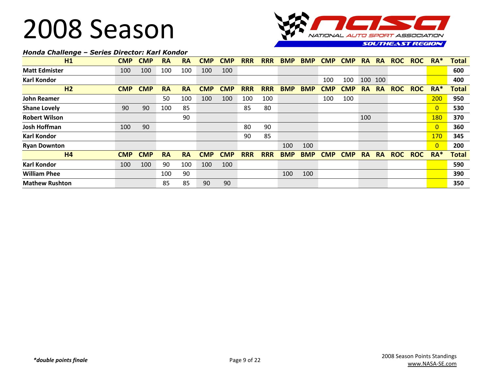

#### *Honda Challenge – Series Director: Karl Kondor*

| H1                    | <b>CMP</b> | <b>CMP</b> | <b>RA</b> | <b>RA</b> | <b>CMP</b> | CMP        | <b>RRR</b> | <b>RRR</b> | <b>BMP</b> | <b>BMP</b> | <b>CMP</b> | <b>CMP</b> | RA        | <b>RA</b> | <b>ROC</b> | <b>ROC</b> | RA <sup>*</sup> | <b>Total</b> |
|-----------------------|------------|------------|-----------|-----------|------------|------------|------------|------------|------------|------------|------------|------------|-----------|-----------|------------|------------|-----------------|--------------|
| <b>Matt Edmister</b>  | 100        | 100        | 100       | 100       | 100        | 100        |            |            |            |            |            |            |           |           |            |            |                 | 600          |
| <b>Karl Kondor</b>    |            |            |           |           |            |            |            |            |            |            | 100        | 100        | 100       | 100       |            |            |                 | 400          |
| H <sub>2</sub>        | <b>CMP</b> | <b>CMP</b> | <b>RA</b> | <b>RA</b> | <b>CMP</b> | CMP        | <b>RRR</b> | <b>RRR</b> | <b>BMP</b> | <b>BMP</b> | <b>CMP</b> | <b>CMP</b> | <b>RA</b> | <b>RA</b> | <b>ROC</b> | <b>ROC</b> | $RA*$           | <b>Total</b> |
| <b>John Reamer</b>    |            |            | 50        | 100       | 100        | 100        | 100        | 100        |            |            | 100        | 100        |           |           |            |            | 200             | 950          |
| <b>Shane Lovely</b>   | 90         | 90         | 100       | 85        |            |            | 85         | 80         |            |            |            |            |           |           |            |            | $\overline{0}$  | 530          |
| <b>Robert Wilson</b>  |            |            |           | 90        |            |            |            |            |            |            |            |            | 100       |           |            |            | <b>180</b>      | 370          |
| <b>Josh Hoffman</b>   | 100        | 90         |           |           |            |            | 80         | 90         |            |            |            |            |           |           |            |            | $\overline{0}$  | 360          |
| <b>Karl Kondor</b>    |            |            |           |           |            |            | 90         | 85         |            |            |            |            |           |           |            |            | <b>170</b>      | 345          |
| <b>Ryan Downton</b>   |            |            |           |           |            |            |            |            | 100        | 100        |            |            |           |           |            |            | $\overline{0}$  | 200          |
| H <sub>4</sub>        | <b>CMP</b> | <b>CMP</b> | <b>RA</b> | <b>RA</b> | <b>CMP</b> | <b>CMP</b> | <b>RRR</b> | <b>RRR</b> | <b>BMP</b> | <b>BMP</b> | <b>CMP</b> | <b>CMP</b> | <b>RA</b> | <b>RA</b> | <b>ROC</b> | <b>ROC</b> | $RA*$           | <b>Total</b> |
| <b>Karl Kondor</b>    | 100        | 100        | 90        | 100       | 100        | 100        |            |            |            |            |            |            |           |           |            |            |                 | 590          |
| <b>William Phee</b>   |            |            | 100       | 90        |            |            |            |            | 100        | 100        |            |            |           |           |            |            |                 | 390          |
| <b>Mathew Rushton</b> |            |            | 85        | 85        | 90         | 90         |            |            |            |            |            |            |           |           |            |            |                 | 350          |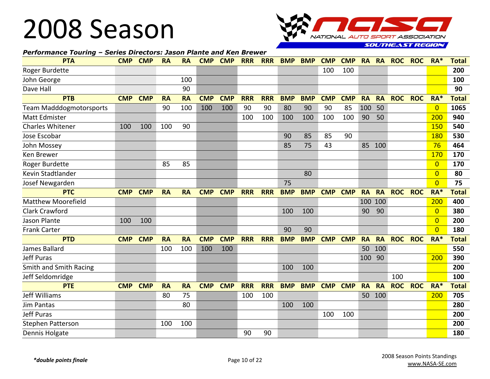

#### *Performance Touring – Series Directors: Jason Plante and Ken Brewer*

| <b>PTA</b>                     | <b>CMP</b> | <b>CMP</b> | <b>RA</b> | <b>RA</b> | <b>CMP</b> | <b>CMP</b> | <b>RRR</b> | <b>RRR</b> | <b>BMP</b> | <b>BMP</b> | <b>CMP</b> | <b>CMP</b> | <b>RA</b> | <b>RA</b> | <b>ROC</b> | <b>ROC</b> | $RA*$          | <b>Total</b> |
|--------------------------------|------------|------------|-----------|-----------|------------|------------|------------|------------|------------|------------|------------|------------|-----------|-----------|------------|------------|----------------|--------------|
| Roger Burdette                 |            |            |           |           |            |            |            |            |            |            | 100        | 100        |           |           |            |            |                | 200          |
| John George                    |            |            |           | 100       |            |            |            |            |            |            |            |            |           |           |            |            |                | 100          |
| Dave Hall                      |            |            |           | 90        |            |            |            |            |            |            |            |            |           |           |            |            |                | 90           |
| <b>PTB</b>                     | <b>CMP</b> | <b>CMP</b> | <b>RA</b> | <b>RA</b> | <b>CMP</b> | <b>CMP</b> | <b>RRR</b> | <b>RRR</b> | <b>BMP</b> | <b>BMP</b> | <b>CMP</b> | <b>CMP</b> | <b>RA</b> | <b>RA</b> | <b>ROC</b> | <b>ROC</b> | $RA*$          | <b>Total</b> |
| <b>Team Madddogmotorsports</b> |            |            | 90        | 100       | 100        | 100        | 90         | 90         | 80         | 90         | 90         | 85         | 100       | 50        |            |            | $\overline{0}$ | 1065         |
| <b>Matt Edmister</b>           |            |            |           |           |            |            | 100        | 100        | 100        | 100        | 100        | 100        | 90        | 50        |            |            | 200            | 940          |
| <b>Charles Whitener</b>        | 100        | 100        | 100       | 90        |            |            |            |            |            |            |            |            |           |           |            |            | 150            | 540          |
| Jose Escobar                   |            |            |           |           |            |            |            |            | 90         | 85         | 85         | 90         |           |           |            |            | 180            | 530          |
| John Mossey                    |            |            |           |           |            |            |            |            | 85         | 75         | 43         |            | 85        | 100       |            |            | 76             | 464          |
| Ken Brewer                     |            |            |           |           |            |            |            |            |            |            |            |            |           |           |            |            | 170            | 170          |
| <b>Roger Burdette</b>          |            |            | 85        | 85        |            |            |            |            |            |            |            |            |           |           |            |            | $\overline{0}$ | 170          |
| Kevin Stadtlander              |            |            |           |           |            |            |            |            |            | 80         |            |            |           |           |            |            | $\Omega$       | 80           |
| Josef Newgarden                |            |            |           |           |            |            |            |            | 75         |            |            |            |           |           |            |            | $\Omega$       | 75           |
| <b>PTC</b>                     | <b>CMP</b> | <b>CMP</b> | <b>RA</b> | <b>RA</b> | <b>CMP</b> | <b>CMP</b> | <b>RRR</b> | <b>RRR</b> | <b>BMP</b> | <b>BMP</b> | <b>CMP</b> | <b>CMP</b> | <b>RA</b> | <b>RA</b> | <b>ROC</b> | <b>ROC</b> | RA*            | <b>Total</b> |
| <b>Matthew Moorefield</b>      |            |            |           |           |            |            |            |            |            |            |            |            | 100       | 100       |            |            | 200            | 400          |
| <b>Clark Crawford</b>          |            |            |           |           |            |            |            |            | 100        | 100        |            |            | 90        | 90        |            |            | $\Omega$       | 380          |
| Jason Plante                   | 100        | 100        |           |           |            |            |            |            |            |            |            |            |           |           |            |            | $\Omega$       | 200          |
| <b>Frank Carter</b>            |            |            |           |           |            |            |            |            | 90         | 90         |            |            |           |           |            |            | $\overline{0}$ | 180          |
| <b>PTD</b>                     | <b>CMP</b> | <b>CMP</b> | <b>RA</b> | <b>RA</b> | <b>CMP</b> | <b>CMP</b> | <b>RRR</b> | <b>RRR</b> | <b>BMP</b> | <b>BMP</b> | <b>CMP</b> | <b>CMP</b> | <b>RA</b> | <b>RA</b> | <b>ROC</b> | <b>ROC</b> | RA*            | <b>Total</b> |
| James Ballard                  |            |            | 100       | 100       | 100        | 100        |            |            |            |            |            |            | 50        | 100       |            |            |                | 550          |
| <b>Jeff Puras</b>              |            |            |           |           |            |            |            |            |            |            |            |            | 100       | 90        |            |            | 200            | 390          |
| Smith and Smith Racing         |            |            |           |           |            |            |            |            | 100        | 100        |            |            |           |           |            |            |                | 200          |
| Jeff Seldomridge               |            |            |           |           |            |            |            |            |            |            |            |            |           |           | 100        |            |                | 100          |
| <b>PTE</b>                     | <b>CMP</b> | <b>CMP</b> | <b>RA</b> | <b>RA</b> | <b>CMP</b> | <b>CMP</b> | <b>RRR</b> | <b>RRR</b> | <b>BMP</b> | <b>BMP</b> | <b>CMP</b> | <b>CMP</b> | <b>RA</b> | <b>RA</b> | <b>ROC</b> | <b>ROC</b> | $RA*$          | <b>Total</b> |
| Jeff Williams                  |            |            | 80        | 75        |            |            | 100        | 100        |            |            |            |            | 50        | 100       |            |            | 200            | 705          |
| <b>Jim Pantas</b>              |            |            |           | 80        |            |            |            |            | 100        | 100        |            |            |           |           |            |            |                | 280          |
| <b>Jeff Puras</b>              |            |            |           |           |            |            |            |            |            |            | 100        | 100        |           |           |            |            |                | 200          |
| <b>Stephen Patterson</b>       |            |            | 100       | 100       |            |            |            |            |            |            |            |            |           |           |            |            |                | 200          |
| Dennis Holgate                 |            |            |           |           |            |            | 90         | 90         |            |            |            |            |           |           |            |            |                | 180          |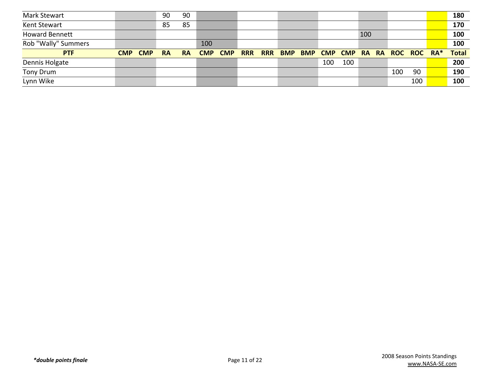| <b>Mark Stewart</b>   |                          | 90        | 90        |            |            |            |            |            |            |                |     |     |                   |    | 180          |
|-----------------------|--------------------------|-----------|-----------|------------|------------|------------|------------|------------|------------|----------------|-----|-----|-------------------|----|--------------|
| Kent Stewart          |                          | 85        | 85        |            |            |            |            |            |            |                |     |     |                   |    | 170          |
| <b>Howard Bennett</b> |                          |           |           |            |            |            |            |            |            |                |     | 100 |                   |    | 100          |
| Rob "Wally" Summers   |                          |           |           | 100        |            |            |            |            |            |                |     |     |                   |    | 100          |
|                       |                          |           |           |            |            |            |            |            |            |                |     |     |                   |    |              |
| <b>PTF</b>            | <b>CMP</b><br><b>CMP</b> | <b>RA</b> | <b>RA</b> | <b>CMP</b> | <b>CMP</b> | <b>RRR</b> | <b>RRR</b> | <b>BMP</b> | <b>BMP</b> | <b>CMP CMP</b> |     |     | RA RA ROC ROC RA* |    | <b>Total</b> |
| Dennis Holgate        |                          |           |           |            |            |            |            |            |            | 100            | 100 |     |                   |    | 200          |
| Tony Drum             |                          |           |           |            |            |            |            |            |            |                |     |     | 100               | 90 | 190          |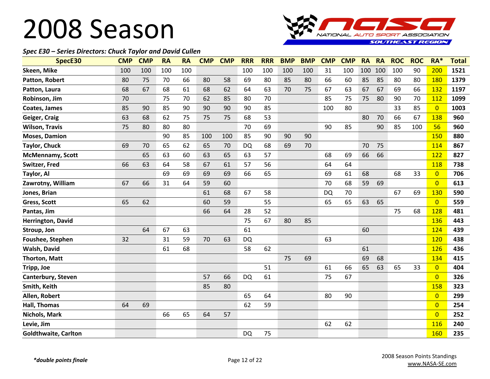

#### *Spec E30 – Series Directors: Chuck Taylor and David Cullen*

| SpecE30                     | <b>CMP</b> | <b>CMP</b> | <b>RA</b> | <b>RA</b> | <b>CMP</b> | <b>CMP</b> | <b>RRR</b> | <b>RRR</b> | <b>BMP</b> | <b>BMP</b> | <b>CMP</b> | <b>CMP</b> | <b>RA</b> | <b>RA</b> | <b>ROC</b> | <b>ROC</b> | $RA*$          | <b>Total</b> |
|-----------------------------|------------|------------|-----------|-----------|------------|------------|------------|------------|------------|------------|------------|------------|-----------|-----------|------------|------------|----------------|--------------|
| Skeen, Mike                 | 100        | 100        | 100       | 100       |            |            | 100        | 100        | 100        | 100        | 31         | 100        | 100       | 100       | 100        | 90         | 200            | 1521         |
| Patton, Robert              | 80         | 75         | 70        | 66        | 80         | 58         | 69         | 80         | 85         | 80         | 66         | 60         | 85        | 85        | 80         | 80         | <b>180</b>     | 1379         |
| Patton, Laura               | 68         | 67         | 68        | 61        | 68         | 62         | 64         | 63         | 70         | 75         | 67         | 63         | 67        | 67        | 69         | 66         | 132            | 1197         |
| Robinson, Jim               | 70         |            | 75        | 70        | 62         | 85         | 80         | 70         |            |            | 85         | 75         | 75        | 80        | 90         | 70         | 112            | 1099         |
| Coates, James               | 85         | 90         | 85        | 90        | 90         | 90         | 90         | 85         |            |            | 100        | 80         |           |           | 33         | 85         | $\overline{0}$ | 1003         |
| Geiger, Craig               | 63         | 68         | 62        | 75        | 75         | 75         | 68         | 53         |            |            |            |            | 80        | 70        | 66         | 67         | 138            | 960          |
| <b>Wilson, Travis</b>       | 75         | 80         | 80        | 80        |            |            | 70         | 69         |            |            | 90         | 85         |           | 90        | 85         | 100        | 56             | 960          |
| <b>Moses, Damion</b>        |            |            | 90        | 85        | 100        | 100        | 85         | 90         | 90         | 90         |            |            |           |           |            |            | 150            | 880          |
| <b>Taylor, Chuck</b>        | 69         | 70         | 65        | 62        | 65         | 70         | <b>DQ</b>  | 68         | 69         | 70         |            |            | 70        | 75        |            |            | 114            | 867          |
| <b>McMennamy, Scott</b>     |            | 65         | 63        | 60        | 63         | 65         | 63         | 57         |            |            | 68         | 69         | 66        | 66        |            |            | 122            | 827          |
| Switzer, Fred               | 66         | 63         | 64        | 58        | 67         | 61         | 57         | 56         |            |            | 64         | 64         |           |           |            |            | <b>118</b>     | 738          |
| Taylor, Al                  |            |            | 69        | 69        | 69         | 69         | 66         | 65         |            |            | 69         | 61         | 68        |           | 68         | 33         | $\overline{0}$ | 706          |
| Zawrotny, William           | 67         | 66         | 31        | 64        | 59         | 60         |            |            |            |            | 70         | 68         | 59        | 69        |            |            | $\overline{0}$ | 613          |
| Jones, Brian                |            |            |           |           | 61         | 68         | 67         | 58         |            |            | <b>DQ</b>  | 70         |           |           | 67         | 69         | 130            | 590          |
| Gress, Scott                | 65         | 62         |           |           | 60         | 59         |            | 55         |            |            | 65         | 65         | 63        | 65        |            |            | $\overline{0}$ | 559          |
| Pantas, Jim                 |            |            |           |           | 66         | 64         | 28         | 52         |            |            |            |            |           |           | 75         | 68         | 128            | 481          |
| Herrington, David           |            |            |           |           |            |            | 75         | 67         | 80         | 85         |            |            |           |           |            |            | <b>136</b>     | 443          |
| Stroup, Jon                 |            | 64         | 67        | 63        |            |            | 61         |            |            |            |            |            | 60        |           |            |            | 124            | 439          |
| Foushee, Stephen            | 32         |            | 31        | 59        | 70         | 63         | <b>DQ</b>  |            |            |            | 63         |            |           |           |            |            | 120            | 438          |
| Walsh, David                |            |            | 61        | 68        |            |            | 58         | 62         |            |            |            |            | 61        |           |            |            | 126            | 436          |
| <b>Thorton, Matt</b>        |            |            |           |           |            |            |            |            | 75         | 69         |            |            | 69        | 68        |            |            | 134            | 415          |
| Tripp, Joe                  |            |            |           |           |            |            |            | 51         |            |            | 61         | 66         | 65        | 63        | 65         | 33         | $\overline{0}$ | 404          |
| Canterbury, Steven          |            |            |           |           | 57         | 66         | <b>DQ</b>  | 61         |            |            | 75         | 67         |           |           |            |            | $\overline{0}$ | 326          |
| Smith, Keith                |            |            |           |           | 85         | 80         |            |            |            |            |            |            |           |           |            |            | 158            | 323          |
| Allen, Robert               |            |            |           |           |            |            | 65         | 64         |            |            | 80         | 90         |           |           |            |            | $\overline{0}$ | 299          |
| Hall, Thomas                | 64         | 69         |           |           |            |            | 62         | 59         |            |            |            |            |           |           |            |            | $\overline{0}$ | 254          |
| Nichols, Mark               |            |            | 66        | 65        | 64         | 57         |            |            |            |            |            |            |           |           |            |            | $\overline{0}$ | 252          |
| Levie, Jim                  |            |            |           |           |            |            |            |            |            |            | 62         | 62         |           |           |            |            | <b>116</b>     | 240          |
| <b>Goldthwaite, Carlton</b> |            |            |           |           |            |            | <b>DQ</b>  | 75         |            |            |            |            |           |           |            |            | 160            | 235          |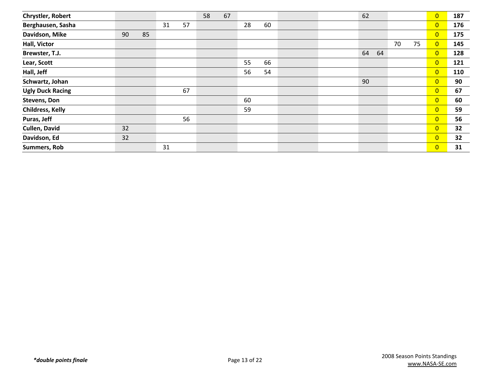| <b>Chrystler, Robert</b> |    |    |    |    | 58 | 67 |    |    |  | 62       |    |    | $\overline{0}$ | 187 |
|--------------------------|----|----|----|----|----|----|----|----|--|----------|----|----|----------------|-----|
| Berghausen, Sasha        |    |    | 31 | 57 |    |    | 28 | 60 |  |          |    |    | $\overline{0}$ | 176 |
| Davidson, Mike           | 90 | 85 |    |    |    |    |    |    |  |          |    |    | $\overline{0}$ | 175 |
| Hall, Victor             |    |    |    |    |    |    |    |    |  |          | 70 | 75 | $\overline{0}$ | 145 |
| Brewster, T.J.           |    |    |    |    |    |    |    |    |  | 64<br>64 |    |    | $\overline{0}$ | 128 |
| Lear, Scott              |    |    |    |    |    |    | 55 | 66 |  |          |    |    | $\overline{0}$ | 121 |
| Hall, Jeff               |    |    |    |    |    |    | 56 | 54 |  |          |    |    | $\overline{0}$ | 110 |
| Schwartz, Johan          |    |    |    |    |    |    |    |    |  | 90       |    |    | $\overline{0}$ | 90  |
| <b>Ugly Duck Racing</b>  |    |    |    | 67 |    |    |    |    |  |          |    |    | $\overline{0}$ | 67  |
| Stevens, Don             |    |    |    |    |    |    | 60 |    |  |          |    |    | $\overline{0}$ | 60  |
| Childress, Kelly         |    |    |    |    |    |    | 59 |    |  |          |    |    | $\overline{0}$ | 59  |
| Puras, Jeff              |    |    |    | 56 |    |    |    |    |  |          |    |    | $\overline{0}$ | 56  |
| Cullen, David            | 32 |    |    |    |    |    |    |    |  |          |    |    | $\overline{0}$ | 32  |
| Davidson, Ed             | 32 |    |    |    |    |    |    |    |  |          |    |    | $\overline{0}$ | 32  |
| <b>Summers, Rob</b>      |    |    | 31 |    |    |    |    |    |  |          |    |    | $\overline{0}$ | 31  |
|                          |    |    |    |    |    |    |    |    |  |          |    |    |                |     |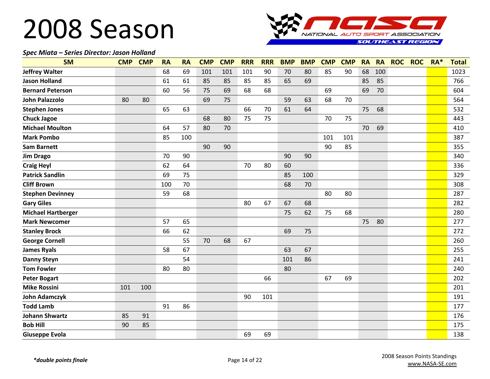

#### *Spec Miata – Series Director: Jason Holland*

| <b>SM</b>                 | <b>CMP</b> | <b>CMP</b> | <b>RA</b> | <b>RA</b> | <b>CMP</b> | <b>CMP</b> | <b>RRR</b> | <b>RRR</b> | <b>BMP</b> | <b>BMP</b> | <b>CMP</b> | <b>CMP</b> | <b>RA</b> | <b>RA</b> | <b>ROC</b> | <b>ROC</b> | RA* | <b>Total</b> |
|---------------------------|------------|------------|-----------|-----------|------------|------------|------------|------------|------------|------------|------------|------------|-----------|-----------|------------|------------|-----|--------------|
| <b>Jeffrey Walter</b>     |            |            | 68        | 69        | 101        | 101        | 101        | 90         | 70         | 80         | 85         | 90         | 68        | 100       |            |            |     | 1023         |
| <b>Jason Holland</b>      |            |            | 61        | 61        | 85         | 85         | 85         | 85         | 65         | 69         |            |            | 85        | 85        |            |            |     | 766          |
| <b>Bernard Peterson</b>   |            |            | 60        | 56        | 75         | 69         | 68         | 68         |            |            | 69         |            | 69        | 70        |            |            |     | 604          |
| <b>John Palazzolo</b>     | 80         | 80         |           |           | 69         | 75         |            |            | 59         | 63         | 68         | 70         |           |           |            |            |     | 564          |
| <b>Stephen Jones</b>      |            |            | 65        | 63        |            |            | 66         | 70         | 61         | 64         |            |            | 75        | 68        |            |            |     | 532          |
| <b>Chuck Jagoe</b>        |            |            |           |           | 68         | 80         | 75         | 75         |            |            | 70         | 75         |           |           |            |            |     | 443          |
| <b>Michael Moulton</b>    |            |            | 64        | 57        | 80         | 70         |            |            |            |            |            |            | 70        | 69        |            |            |     | 410          |
| <b>Mark Pombo</b>         |            |            | 85        | 100       |            |            |            |            |            |            | 101        | 101        |           |           |            |            |     | 387          |
| <b>Sam Barnett</b>        |            |            |           |           | 90         | 90         |            |            |            |            | 90         | 85         |           |           |            |            |     | 355          |
| <b>Jim Drago</b>          |            |            | 70        | 90        |            |            |            |            | 90         | 90         |            |            |           |           |            |            |     | 340          |
| <b>Craig Heyl</b>         |            |            | 62        | 64        |            |            | 70         | 80         | 60         |            |            |            |           |           |            |            |     | 336          |
| <b>Patrick Sandlin</b>    |            |            | 69        | 75        |            |            |            |            | 85         | 100        |            |            |           |           |            |            |     | 329          |
| <b>Cliff Brown</b>        |            |            | 100       | 70        |            |            |            |            | 68         | 70         |            |            |           |           |            |            |     | 308          |
| <b>Stephen Devinney</b>   |            |            | 59        | 68        |            |            |            |            |            |            | 80         | 80         |           |           |            |            |     | 287          |
| <b>Gary Giles</b>         |            |            |           |           |            |            | 80         | 67         | 67         | 68         |            |            |           |           |            |            |     | 282          |
| <b>Michael Hartberger</b> |            |            |           |           |            |            |            |            | 75         | 62         | 75         | 68         |           |           |            |            |     | 280          |
| <b>Mark Newcomer</b>      |            |            | 57        | 65        |            |            |            |            |            |            |            |            | 75        | 80        |            |            |     | 277          |
| <b>Stanley Brock</b>      |            |            | 66        | 62        |            |            |            |            | 69         | 75         |            |            |           |           |            |            |     | 272          |
| <b>George Cornell</b>     |            |            |           | 55        | 70         | 68         | 67         |            |            |            |            |            |           |           |            |            |     | 260          |
| <b>James Ryals</b>        |            |            | 58        | 67        |            |            |            |            | 63         | 67         |            |            |           |           |            |            |     | 255          |
| <b>Danny Steyn</b>        |            |            |           | 54        |            |            |            |            | 101        | 86         |            |            |           |           |            |            |     | 241          |
| <b>Tom Fowler</b>         |            |            | 80        | 80        |            |            |            |            | 80         |            |            |            |           |           |            |            |     | 240          |
| <b>Peter Bogart</b>       |            |            |           |           |            |            |            | 66         |            |            | 67         | 69         |           |           |            |            |     | 202          |
| <b>Mike Rossini</b>       | 101        | 100        |           |           |            |            |            |            |            |            |            |            |           |           |            |            |     | 201          |
| <b>John Adamczyk</b>      |            |            |           |           |            |            | 90         | 101        |            |            |            |            |           |           |            |            |     | 191          |
| <b>Todd Lamb</b>          |            |            | 91        | 86        |            |            |            |            |            |            |            |            |           |           |            |            |     | 177          |
| <b>Johann Shwartz</b>     | 85         | 91         |           |           |            |            |            |            |            |            |            |            |           |           |            |            |     | 176          |
| <b>Bob Hill</b>           | 90         | 85         |           |           |            |            |            |            |            |            |            |            |           |           |            |            |     | 175          |
| <b>Giuseppe Evola</b>     |            |            |           |           |            |            | 69         | 69         |            |            |            |            |           |           |            |            |     | 138          |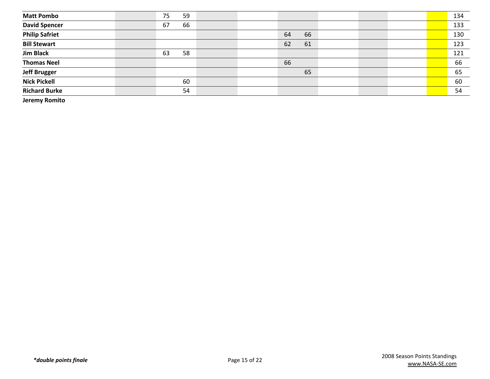| <b>Matt Pombo</b>                  | 75<br>59 |  |    |    |  |  | 134 |
|------------------------------------|----------|--|----|----|--|--|-----|
| <b>David Spencer</b>               | 67<br>66 |  |    |    |  |  | 133 |
| <b>Philip Safriet</b>              |          |  | 64 | 66 |  |  | 130 |
| <b>Bill Stewart</b>                |          |  | 62 | 61 |  |  | 123 |
| <b>Jim Black</b>                   | 58<br>63 |  |    |    |  |  | 121 |
| <b>Thomas Neel</b>                 |          |  | 66 |    |  |  | 66  |
| <b>Jeff Brugger</b>                |          |  |    | 65 |  |  | 65  |
| <b>Nick Pickell</b>                | 60       |  |    |    |  |  | 60  |
| <b>Richard Burke</b>               | 54       |  |    |    |  |  | 54  |
| $\sim$ $\sim$ $\sim$ $\sim$ $\sim$ |          |  |    |    |  |  |     |

**Jeremy Romito**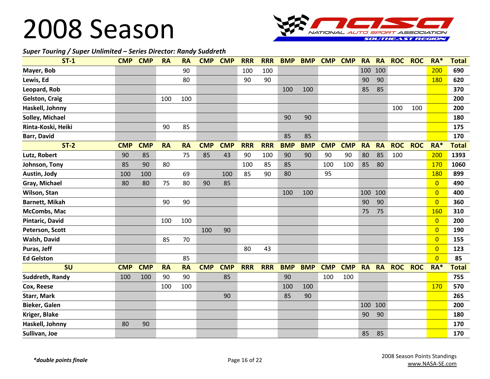

#### *Super Touring / Super Unlimited – Series Director: Randy Suddreth*

| $ST-1$                | <b>CMP</b> | <b>CMP</b> | <b>RA</b> | <b>RA</b> | <b>CMP</b> | <b>CMP</b> | <b>RRR</b> | <b>RRR</b> | <b>BMP</b> | <b>BMP</b> | <b>CMP</b> | <b>CMP</b> | <b>RA</b> | <b>RA</b> | <b>ROC</b> | <b>ROC</b> | RA*            | <b>Total</b> |
|-----------------------|------------|------------|-----------|-----------|------------|------------|------------|------------|------------|------------|------------|------------|-----------|-----------|------------|------------|----------------|--------------|
| Mayer, Bob            |            |            |           | 90        |            |            | 100        | 100        |            |            |            |            | 100       | 100       |            |            | 200            | 690          |
| Lewis, Ed             |            |            |           | 80        |            |            | 90         | 90         |            |            |            |            | 90        | 90        |            |            | 180            | 620          |
| Leopard, Rob          |            |            |           |           |            |            |            |            | 100        | 100        |            |            | 85        | 85        |            |            |                | 370          |
| <b>Gelston, Craig</b> |            |            | 100       | 100       |            |            |            |            |            |            |            |            |           |           |            |            |                | 200          |
| Haskell, Johnny       |            |            |           |           |            |            |            |            |            |            |            |            |           |           | 100        | 100        |                | 200          |
| Solley, Michael       |            |            |           |           |            |            |            |            | 90         | 90         |            |            |           |           |            |            |                | 180          |
| Rinta-Koski, Heiki    |            |            | 90        | 85        |            |            |            |            |            |            |            |            |           |           |            |            |                | 175          |
| Barr, David           |            |            |           |           |            |            |            |            | 85         | 85         |            |            |           |           |            |            |                | 170          |
| $ST-2$                | <b>CMP</b> | <b>CMP</b> | <b>RA</b> | <b>RA</b> | <b>CMP</b> | <b>CMP</b> | <b>RRR</b> | <b>RRR</b> | <b>BMP</b> | <b>BMP</b> | <b>CMP</b> | <b>CMP</b> | <b>RA</b> | <b>RA</b> | <b>ROC</b> | <b>ROC</b> | RA*            | <b>Total</b> |
| Lutz, Robert          | 90         | 85         |           | 75        | 85         | 43         | 90         | 100        | 90         | 90         | 90         | 90         | 80        | 85        | 100        |            | 200            | 1393         |
| Johnson, Tony         | 85         | 90         | 80        |           |            |            | 100        | 85         | 85         |            | 100        | 100        | 85        | 80        |            |            | 170            | 1060         |
| Austin, Jody          | 100        | 100        |           | 69        |            | 100        | 85         | 90         | 80         |            | 95         |            |           |           |            |            | 180            | 899          |
| Gray, Michael         | 80         | 80         | 75        | 80        | 90         | 85         |            |            |            |            |            |            |           |           |            |            | $\overline{0}$ | 490          |
| Wilson, Stan          |            |            |           |           |            |            |            |            | 100        | 100        |            |            | 100       | 100       |            |            | $\overline{0}$ | 400          |
| <b>Barnett, Mikah</b> |            |            | 90        | 90        |            |            |            |            |            |            |            |            | 90        | 90        |            |            | $\overline{0}$ | 360          |
| McCombs, Mac          |            |            |           |           |            |            |            |            |            |            |            |            | 75        | 75        |            |            | 160            | 310          |
| Pintaric, David       |            |            | 100       | 100       |            |            |            |            |            |            |            |            |           |           |            |            | $\overline{0}$ | 200          |
| Peterson, Scott       |            |            |           |           | 100        | 90         |            |            |            |            |            |            |           |           |            |            | $\overline{0}$ | 190          |
| Walsh, David          |            |            | 85        | 70        |            |            |            |            |            |            |            |            |           |           |            |            | $\overline{0}$ | 155          |
| Puras, Jeff           |            |            |           |           |            |            | 80         | 43         |            |            |            |            |           |           |            |            | $\overline{0}$ | 123          |
| <b>Ed Gelston</b>     |            |            |           | 85        |            |            |            |            |            |            |            |            |           |           |            |            | $\Omega$       | 85           |
| SU                    | <b>CMP</b> | <b>CMP</b> | <b>RA</b> | <b>RA</b> | <b>CMP</b> | <b>CMP</b> | <b>RRR</b> | <b>RRR</b> | <b>BMP</b> | <b>BMP</b> | <b>CMP</b> | <b>CMP</b> | <b>RA</b> | <b>RA</b> | <b>ROC</b> | <b>ROC</b> | RA*            | <b>Total</b> |
| Suddreth, Randy       | 100        | 100        | 90        | 90        |            | 85         |            |            | 90         |            | 100        | 100        |           |           |            |            |                | 755          |
| Cox, Reese            |            |            | 100       | 100       |            |            |            |            | 100        | 100        |            |            |           |           |            |            | 170            | 570          |
| <b>Starr, Mark</b>    |            |            |           |           |            | 90         |            |            | 85         | 90         |            |            |           |           |            |            |                | 265          |
| Bieker, Galen         |            |            |           |           |            |            |            |            |            |            |            |            |           | 100 100   |            |            |                | 200          |
| Kriger, Blake         |            |            |           |           |            |            |            |            |            |            |            |            | 90        | 90        |            |            |                | 180          |
| Haskell, Johnny       | 80         | 90         |           |           |            |            |            |            |            |            |            |            |           |           |            |            |                | 170          |
| Sullivan, Joe         |            |            |           |           |            |            |            |            |            |            |            |            | 85        | 85        |            |            |                | 170          |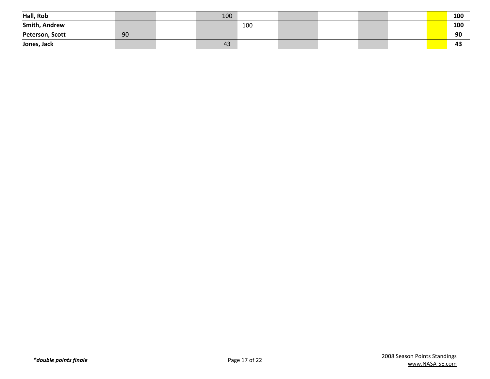| Hall, Rob            |    | 100 |     |  |  | 100 |
|----------------------|----|-----|-----|--|--|-----|
| <b>Smith, Andrew</b> |    |     | 100 |  |  | 100 |
| Peterson, Scott      | 90 |     |     |  |  | 90  |
| Jones, Jack          |    | 43  |     |  |  | -43 |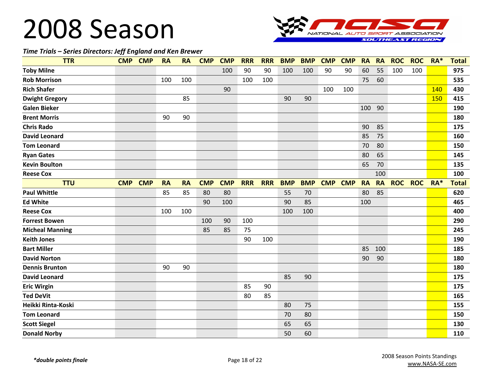

#### *Time Trials – Series Directors: Jeff England and Ken Brewer*

| <b>TTR</b>             | <b>CMP</b> | <b>CMP</b> | <b>RA</b> | <b>RA</b> | <b>CMP</b> | <b>CMP</b> | <b>RRR</b> | <b>RRR</b> | <b>BMP</b> | <b>BMP</b> | <b>CMP</b> | <b>CMP</b> | <b>RA</b> | <b>RA</b> | <b>ROC</b> | <b>ROC</b> | RA*   | <b>Total</b> |
|------------------------|------------|------------|-----------|-----------|------------|------------|------------|------------|------------|------------|------------|------------|-----------|-----------|------------|------------|-------|--------------|
| <b>Toby Milne</b>      |            |            |           |           |            | 100        | 90         | 90         | 100        | 100        | 90         | 90         | 60        | 55        | 100        | 100        |       | 975          |
| <b>Rob Morrison</b>    |            |            | 100       | 100       |            |            | 100        | 100        |            |            |            |            | 75        | 60        |            |            |       | 535          |
| <b>Rich Shafer</b>     |            |            |           |           |            | 90         |            |            |            |            | 100        | 100        |           |           |            |            | 140   | 430          |
| <b>Dwight Gregory</b>  |            |            |           | 85        |            |            |            |            | 90         | 90         |            |            |           |           |            |            | 150   | 415          |
| <b>Galen Bieker</b>    |            |            |           |           |            |            |            |            |            |            |            |            | 100       | 90        |            |            |       | 190          |
| <b>Brent Morris</b>    |            |            | 90        | 90        |            |            |            |            |            |            |            |            |           |           |            |            |       | 180          |
| <b>Chris Rado</b>      |            |            |           |           |            |            |            |            |            |            |            |            | 90        | 85        |            |            |       | 175          |
| <b>David Leonard</b>   |            |            |           |           |            |            |            |            |            |            |            |            | 85        | 75        |            |            |       | 160          |
| <b>Tom Leonard</b>     |            |            |           |           |            |            |            |            |            |            |            |            | 70        | 80        |            |            |       | 150          |
| <b>Ryan Gates</b>      |            |            |           |           |            |            |            |            |            |            |            |            | 80        | 65        |            |            |       | 145          |
| <b>Kevin Boulton</b>   |            |            |           |           |            |            |            |            |            |            |            |            | 65        | 70        |            |            |       | 135          |
| <b>Reese Cox</b>       |            |            |           |           |            |            |            |            |            |            |            |            |           | 100       |            |            |       | 100          |
| <b>TTU</b>             | <b>CMP</b> | <b>CMP</b> | <b>RA</b> | <b>RA</b> | <b>CMP</b> | <b>CMP</b> | <b>RRR</b> | <b>RRR</b> | <b>BMP</b> | <b>BMP</b> | <b>CMP</b> | <b>CMP</b> | <b>RA</b> | <b>RA</b> | <b>ROC</b> | <b>ROC</b> | $RA*$ | <b>Total</b> |
| <b>Paul Whittle</b>    |            |            | 85        | 85        | 80         | 80         |            |            | 55         | 70         |            |            | 80        | 85        |            |            |       | 620          |
| <b>Ed White</b>        |            |            |           |           | 90         | 100        |            |            | 90         | 85         |            |            | 100       |           |            |            |       | 465          |
| <b>Reese Cox</b>       |            |            | 100       | 100       |            |            |            |            | 100        | 100        |            |            |           |           |            |            |       | 400          |
| <b>Forrest Bowen</b>   |            |            |           |           | 100        | 90         | 100        |            |            |            |            |            |           |           |            |            |       | 290          |
| <b>Micheal Manning</b> |            |            |           |           | 85         | 85         | 75         |            |            |            |            |            |           |           |            |            |       | 245          |
| <b>Keith Jones</b>     |            |            |           |           |            |            | 90         | 100        |            |            |            |            |           |           |            |            |       | 190          |
| <b>Bart Miller</b>     |            |            |           |           |            |            |            |            |            |            |            |            | 85        | 100       |            |            |       | 185          |
| <b>David Norton</b>    |            |            |           |           |            |            |            |            |            |            |            |            | 90        | 90        |            |            |       | 180          |
| <b>Dennis Brunton</b>  |            |            | 90        | 90        |            |            |            |            |            |            |            |            |           |           |            |            |       | 180          |
| <b>David Leonard</b>   |            |            |           |           |            |            |            |            | 85         | 90         |            |            |           |           |            |            |       | 175          |
| <b>Eric Wirgin</b>     |            |            |           |           |            |            | 85         | 90         |            |            |            |            |           |           |            |            |       | 175          |
| <b>Ted DeVit</b>       |            |            |           |           |            |            | 80         | 85         |            |            |            |            |           |           |            |            |       | 165          |
| Heikki Rinta-Koski     |            |            |           |           |            |            |            |            | 80         | 75         |            |            |           |           |            |            |       | 155          |
| <b>Tom Leonard</b>     |            |            |           |           |            |            |            |            | 70         | 80         |            |            |           |           |            |            |       | 150          |
| <b>Scott Siegel</b>    |            |            |           |           |            |            |            |            | 65         | 65         |            |            |           |           |            |            |       | 130          |
| <b>Donald Norby</b>    |            |            |           |           |            |            |            |            | 50         | 60         |            |            |           |           |            |            |       | 110          |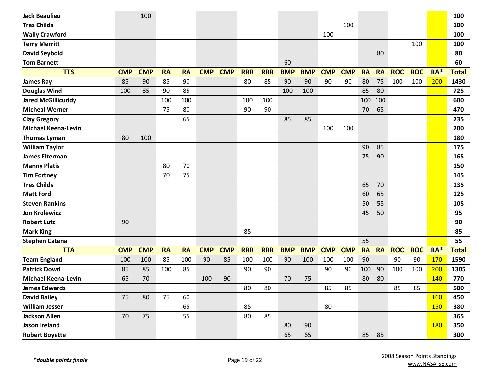| <b>Jack Beaulieu</b>       |            | 100        |           |           |            |            |            |            |            |            |            |            |           |           |            |            |            | 100          |
|----------------------------|------------|------------|-----------|-----------|------------|------------|------------|------------|------------|------------|------------|------------|-----------|-----------|------------|------------|------------|--------------|
|                            |            |            |           |           |            |            |            |            |            |            |            |            |           |           |            |            |            |              |
| <b>Tres Childs</b>         |            |            |           |           |            |            |            |            |            |            |            | 100        |           |           |            |            |            | 100          |
| <b>Wally Crawford</b>      |            |            |           |           |            |            |            |            |            |            | 100        |            |           |           |            |            |            | 100          |
| <b>Terry Merritt</b>       |            |            |           |           |            |            |            |            |            |            |            |            |           |           |            | 100        |            | 100          |
| <b>David Seybold</b>       |            |            |           |           |            |            |            |            |            |            |            |            |           | 80        |            |            |            | 80           |
| <b>Tom Barnett</b>         |            |            |           |           |            |            |            |            | 60         |            |            |            |           |           |            |            |            | 60           |
| <b>TTS</b>                 | <b>CMP</b> | <b>CMP</b> | <b>RA</b> | <b>RA</b> | <b>CMP</b> | <b>CMP</b> | <b>RRR</b> | <b>RRR</b> | <b>BMP</b> | <b>BMP</b> | <b>CMP</b> | <b>CMP</b> | <b>RA</b> | <b>RA</b> | <b>ROC</b> | <b>ROC</b> | RA*        | <b>Total</b> |
| <b>James Ray</b>           | 85         | 90         | 85        | 90        |            |            | 80         | 85         | 90         | 90         | 90         | 90         | 80        | 75        | 100        | 100        | 200        | 1430         |
| <b>Douglas Wind</b>        | 100        | 85         | 90        | 85        |            |            |            |            | 100        | 100        |            |            | 85        | 80        |            |            |            | 725          |
| <b>Jared McGillicuddy</b>  |            |            | 100       | 100       |            |            | 100        | 100        |            |            |            |            | 100       | 100       |            |            |            | 600          |
| <b>Micheal Werner</b>      |            |            | 75        | 80        |            |            | 90         | 90         |            |            |            |            | 70        | 65        |            |            |            | 470          |
| <b>Clay Gregory</b>        |            |            |           | 65        |            |            |            |            | 85         | 85         |            |            |           |           |            |            |            | 235          |
| <b>Michael Keena-Levin</b> |            |            |           |           |            |            |            |            |            |            | 100        | 100        |           |           |            |            |            | 200          |
| <b>Thomas Lyman</b>        | 80         | 100        |           |           |            |            |            |            |            |            |            |            |           |           |            |            |            | 180          |
| <b>William Taylor</b>      |            |            |           |           |            |            |            |            |            |            |            |            | 90        | 85        |            |            |            | 175          |
| <b>James Elterman</b>      |            |            |           |           |            |            |            |            |            |            |            |            | 75        | 90        |            |            |            | 165          |
| <b>Manny Platis</b>        |            |            | 80        | 70        |            |            |            |            |            |            |            |            |           |           |            |            |            | 150          |
| <b>Tim Fortney</b>         |            |            | 70        | 75        |            |            |            |            |            |            |            |            |           |           |            |            |            | 145          |
| <b>Tres Childs</b>         |            |            |           |           |            |            |            |            |            |            |            |            | 65        | 70        |            |            |            | 135          |
| <b>Matt Ford</b>           |            |            |           |           |            |            |            |            |            |            |            |            | 60        | 65        |            |            |            | 125          |
| <b>Steven Rankins</b>      |            |            |           |           |            |            |            |            |            |            |            |            | 50        | 55        |            |            |            | 105          |
| <b>Jon Krolewicz</b>       |            |            |           |           |            |            |            |            |            |            |            |            | 45        | 50        |            |            |            | 95           |
| <b>Robert Lutz</b>         | 90         |            |           |           |            |            |            |            |            |            |            |            |           |           |            |            |            | 90           |
| <b>Mark King</b>           |            |            |           |           |            |            | 85         |            |            |            |            |            |           |           |            |            |            | 85           |
| <b>Stephen Catena</b>      |            |            |           |           |            |            |            |            |            |            |            |            | 55        |           |            |            |            | 55           |
| <b>TTA</b>                 | <b>CMP</b> | <b>CMP</b> | <b>RA</b> | <b>RA</b> | <b>CMP</b> | <b>CMP</b> | <b>RRR</b> | <b>RRR</b> | <b>BMP</b> | <b>BMP</b> | <b>CMP</b> | <b>CMP</b> | <b>RA</b> | <b>RA</b> | <b>ROC</b> | <b>ROC</b> | RA*        | <b>Total</b> |
| <b>Team England</b>        | 100        | 100        | 85        | 100       | 90         | 85         | 100        | 100        | 90         | 100        | 100        | 100        | 90        |           | 90         | 90         | 170        | 1590         |
| <b>Patrick Dowd</b>        | 85         | 85         | 100       | 85        |            |            | 90         | 90         |            |            | 90         | 90         | 100       | 90        | 100        | 100        | 200        | 1305         |
| <b>Michael Keena-Levin</b> | 65         | 70         |           |           | 100        | 90         |            |            | 70         | 75         |            |            | 80        | 80        |            |            | <b>140</b> | 770          |
| <b>James Edwards</b>       |            |            |           |           |            |            | 80         | 80         |            |            | 85         | 85         |           |           | 85         | 85         |            | 500          |
| <b>David Bailey</b>        | 75         | 80         | 75        | 60        |            |            |            |            |            |            |            |            |           |           |            |            | 160        | 450          |
| <b>William Jesser</b>      |            |            |           | 65        |            |            | 85         |            |            |            | 80         |            |           |           |            |            | 150        | 380          |
| <b>Jackson Allen</b>       | 70         | 75         |           | 55        |            |            | 80         | 85         |            |            |            |            |           |           |            |            |            | 365          |
| Jason Ireland              |            |            |           |           |            |            |            |            | 80         | 90         |            |            |           |           |            |            | <b>180</b> | 350          |
| <b>Robert Boyette</b>      |            |            |           |           |            |            |            |            | 65         | 65         |            |            | 85        | 85        |            |            |            | 300          |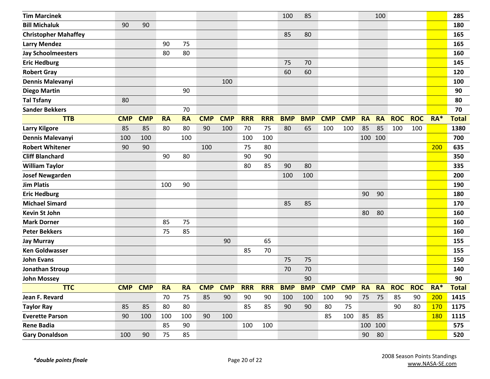| <b>Tim Marcinek</b>         |            |            |           |           |            |            |            |            | 100        | 85         |            |            |           | 100       |            |            |            | 285          |
|-----------------------------|------------|------------|-----------|-----------|------------|------------|------------|------------|------------|------------|------------|------------|-----------|-----------|------------|------------|------------|--------------|
| <b>Bill Michaluk</b>        | 90         | 90         |           |           |            |            |            |            |            |            |            |            |           |           |            |            |            | 180          |
| <b>Christopher Mahaffey</b> |            |            |           |           |            |            |            |            | 85         | 80         |            |            |           |           |            |            |            | 165          |
| <b>Larry Mendez</b>         |            |            | 90        | 75        |            |            |            |            |            |            |            |            |           |           |            |            |            | 165          |
| <b>Jay Schoolmeesters</b>   |            |            | 80        | 80        |            |            |            |            |            |            |            |            |           |           |            |            |            | 160          |
| <b>Eric Hedburg</b>         |            |            |           |           |            |            |            |            | 75         | 70         |            |            |           |           |            |            |            | 145          |
| <b>Robert Gray</b>          |            |            |           |           |            |            |            |            | 60         | 60         |            |            |           |           |            |            |            | 120          |
| Dennis Malevanyi            |            |            |           |           |            | 100        |            |            |            |            |            |            |           |           |            |            |            | 100          |
| <b>Diego Martin</b>         |            |            |           | 90        |            |            |            |            |            |            |            |            |           |           |            |            |            | 90           |
| <b>Tal Tsfany</b>           | 80         |            |           |           |            |            |            |            |            |            |            |            |           |           |            |            |            | 80           |
| <b>Sander Bekkers</b>       |            |            |           | 70        |            |            |            |            |            |            |            |            |           |           |            |            |            | 70           |
| <b>TTB</b>                  | <b>CMP</b> | <b>CMP</b> | <b>RA</b> | <b>RA</b> | <b>CMP</b> | <b>CMP</b> | <b>RRR</b> | <b>RRR</b> | <b>BMP</b> | <b>BMP</b> | <b>CMP</b> | <b>CMP</b> | <b>RA</b> | <b>RA</b> | <b>ROC</b> | <b>ROC</b> | RA*        | <b>Total</b> |
| <b>Larry Kilgore</b>        | 85         | 85         | 80        | 80        | 90         | 100        | 70         | 75         | 80         | 65         | 100        | 100        | 85        | 85        | 100        | 100        |            | 1380         |
| Dennis Malevanyi            | 100        | 100        |           | 100       |            |            | 100        | 100        |            |            |            |            |           | 100 100   |            |            |            | 700          |
| <b>Robert Whitener</b>      | 90         | 90         |           |           | 100        |            | 75         | 80         |            |            |            |            |           |           |            |            | 200        | 635          |
| <b>Cliff Blanchard</b>      |            |            | 90        | 80        |            |            | 90         | 90         |            |            |            |            |           |           |            |            |            | 350          |
| <b>William Taylor</b>       |            |            |           |           |            |            | 80         | 85         | 90         | 80         |            |            |           |           |            |            |            | 335          |
| <b>Josef Newgarden</b>      |            |            |           |           |            |            |            |            | 100        | 100        |            |            |           |           |            |            |            | 200          |
| <b>Jim Platis</b>           |            |            | 100       | 90        |            |            |            |            |            |            |            |            |           |           |            |            |            | 190          |
| <b>Eric Hedburg</b>         |            |            |           |           |            |            |            |            |            |            |            |            | 90        | 90        |            |            |            | 180          |
| <b>Michael Simard</b>       |            |            |           |           |            |            |            |            | 85         | 85         |            |            |           |           |            |            |            | 170          |
| <b>Kevin St John</b>        |            |            |           |           |            |            |            |            |            |            |            |            | 80        | 80        |            |            |            | 160          |
| <b>Mark Dorner</b>          |            |            | 85        | 75        |            |            |            |            |            |            |            |            |           |           |            |            |            | 160          |
| <b>Peter Bekkers</b>        |            |            | 75        | 85        |            |            |            |            |            |            |            |            |           |           |            |            |            | 160          |
| <b>Jay Murray</b>           |            |            |           |           |            | 90         |            | 65         |            |            |            |            |           |           |            |            |            | 155          |
| <b>Ken Goldwasser</b>       |            |            |           |           |            |            | 85         | 70         |            |            |            |            |           |           |            |            |            | 155          |
| <b>John Evans</b>           |            |            |           |           |            |            |            |            | 75         | 75         |            |            |           |           |            |            |            | 150          |
| <b>Jonathan Stroup</b>      |            |            |           |           |            |            |            |            | 70         | 70         |            |            |           |           |            |            |            | 140          |
| <b>John Mossey</b>          |            |            |           |           |            |            |            |            |            | 90         |            |            |           |           |            |            |            | 90           |
| <b>TTC</b>                  | <b>CMP</b> | <b>CMP</b> | <b>RA</b> | <b>RA</b> | <b>CMP</b> | <b>CMP</b> | <b>RRR</b> | <b>RRR</b> | <b>BMP</b> | <b>BMP</b> | <b>CMP</b> | <b>CMP</b> | <b>RA</b> | <b>RA</b> | <b>ROC</b> | <b>ROC</b> | $RA*$      | <b>Total</b> |
| Jean F. Revard              |            |            | 70        | 75        | 85         | 90         | 90         | 90         | 100        | 100        | 100        | 90         | 75        | 75        | 85         | 90         | 200        | 1415         |
| <b>Taylor Ray</b>           | 85         | 85         | 80        | 80        |            |            | 85         | 85         | 90         | 90         | 80         | 75         |           |           | 90         | 80         | <b>170</b> | 1175         |
| <b>Everette Parson</b>      | 90         | 100        | 100       | 100       | 90         | 100        |            |            |            |            | 85         | 100        | 85        | 85        |            |            | <b>180</b> | 1115         |
| <b>Rene Badia</b>           |            |            | 85        | 90        |            |            | 100        | 100        |            |            |            |            |           | 100 100   |            |            |            | 575          |
| <b>Gary Donaldson</b>       | 100        | 90         | 75        | 85        |            |            |            |            |            |            |            |            | 90        | 80        |            |            |            | 520          |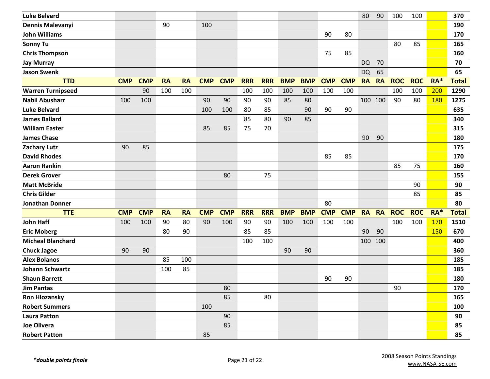| <b>Luke Belverd</b>      |            |            |           |           |            |            |            |            |            |            |            |            | 80        | 90        | 100        | 100        |            | 370          |
|--------------------------|------------|------------|-----------|-----------|------------|------------|------------|------------|------------|------------|------------|------------|-----------|-----------|------------|------------|------------|--------------|
| Dennis Malevanyi         |            |            | 90        |           | 100        |            |            |            |            |            |            |            |           |           |            |            |            | 190          |
| <b>John Williams</b>     |            |            |           |           |            |            |            |            |            |            | 90         | 80         |           |           |            |            |            | 170          |
| <b>Sonny Tu</b>          |            |            |           |           |            |            |            |            |            |            |            |            |           |           | 80         | 85         |            | 165          |
| <b>Chris Thompson</b>    |            |            |           |           |            |            |            |            |            |            | 75         | 85         |           |           |            |            |            | 160          |
| <b>Jay Murray</b>        |            |            |           |           |            |            |            |            |            |            |            |            | <b>DQ</b> | 70        |            |            |            | 70           |
| <b>Jason Swenk</b>       |            |            |           |           |            |            |            |            |            |            |            |            | <b>DQ</b> | 65        |            |            |            | 65           |
| <b>TTD</b>               | <b>CMP</b> | <b>CMP</b> | <b>RA</b> | <b>RA</b> | <b>CMP</b> | <b>CMP</b> | <b>RRR</b> | <b>RRR</b> | <b>BMP</b> | <b>BMP</b> | <b>CMP</b> | <b>CMP</b> | <b>RA</b> | <b>RA</b> | <b>ROC</b> | <b>ROC</b> | RA*        | <b>Total</b> |
| <b>Warren Turnipseed</b> |            | 90         | 100       | 100       |            |            | 100        | 100        | 100        | 100        | 100        | 100        |           |           | 100        | 100        | 200        | 1290         |
| <b>Nabil Abusharr</b>    | 100        | 100        |           |           | 90         | 90         | 90         | 90         | 85         | 80         |            |            |           | 100 100   | 90         | 80         | <b>180</b> | 1275         |
| <b>Luke Belvard</b>      |            |            |           |           | 100        | 100        | 80         | 85         |            | 90         | 90         | 90         |           |           |            |            |            | 635          |
| <b>James Ballard</b>     |            |            |           |           |            |            | 85         | 80         | 90         | 85         |            |            |           |           |            |            |            | 340          |
| <b>William Easter</b>    |            |            |           |           | 85         | 85         | 75         | 70         |            |            |            |            |           |           |            |            |            | 315          |
| <b>James Chase</b>       |            |            |           |           |            |            |            |            |            |            |            |            | 90        | 90        |            |            |            | 180          |
| <b>Zachary Lutz</b>      | 90         | 85         |           |           |            |            |            |            |            |            |            |            |           |           |            |            |            | 175          |
| <b>David Rhodes</b>      |            |            |           |           |            |            |            |            |            |            | 85         | 85         |           |           |            |            |            | 170          |
| <b>Aaron Rankin</b>      |            |            |           |           |            |            |            |            |            |            |            |            |           |           | 85         | 75         |            | 160          |
| <b>Derek Grover</b>      |            |            |           |           |            | 80         |            | 75         |            |            |            |            |           |           |            |            |            | 155          |
| <b>Matt McBride</b>      |            |            |           |           |            |            |            |            |            |            |            |            |           |           |            | 90         |            | 90           |
| <b>Chris Gilder</b>      |            |            |           |           |            |            |            |            |            |            |            |            |           |           |            | 85         |            | 85           |
| <b>Jonathan Donner</b>   |            |            |           |           |            |            |            |            |            |            | 80         |            |           |           |            |            |            | 80           |
| <b>TTE</b>               | <b>CMP</b> | <b>CMP</b> | <b>RA</b> | <b>RA</b> | <b>CMP</b> | <b>CMP</b> | <b>RRR</b> | <b>RRR</b> | <b>BMP</b> | <b>BMP</b> | <b>CMP</b> | <b>CMP</b> | <b>RA</b> | <b>RA</b> | <b>ROC</b> | <b>ROC</b> | $RA*$      | <b>Total</b> |
| <b>John Haff</b>         | 100        | 100        | 90        | 80        | 90         | 100        | 90         | 90         | 100        | 100        | 100        | 100        |           |           | 100        | 100        | 170        | 1510         |
| <b>Eric Moberg</b>       |            |            | 80        | 90        |            |            | 85         | 85         |            |            |            |            | 90        | 90        |            |            | 150        | 670          |
| <b>Micheal Blanchard</b> |            |            |           |           |            |            | 100        | 100        |            |            |            |            |           | 100 100   |            |            |            | 400          |
| <b>Chuck Jagoe</b>       | 90         | 90         |           |           |            |            |            |            | 90         | 90         |            |            |           |           |            |            |            | 360          |
| <b>Alex Bolanos</b>      |            |            | 85        | 100       |            |            |            |            |            |            |            |            |           |           |            |            |            | 185          |
| <b>Johann Schwartz</b>   |            |            | 100       | 85        |            |            |            |            |            |            |            |            |           |           |            |            |            | 185          |
| <b>Shaun Barrett</b>     |            |            |           |           |            |            |            |            |            |            | 90         | 90         |           |           |            |            |            | 180          |
| <b>Jim Pantas</b>        |            |            |           |           |            | 80         |            |            |            |            |            |            |           |           | $90\,$     |            |            | 170          |
| <b>Ron Hlozansky</b>     |            |            |           |           |            | 85         |            | 80         |            |            |            |            |           |           |            |            |            | 165          |
| <b>Robert Summers</b>    |            |            |           |           | 100        |            |            |            |            |            |            |            |           |           |            |            |            | 100          |
| <b>Laura Patton</b>      |            |            |           |           |            | 90         |            |            |            |            |            |            |           |           |            |            |            | 90           |
| Joe Olivera              |            |            |           |           |            | 85         |            |            |            |            |            |            |           |           |            |            |            | 85           |
| <b>Robert Patton</b>     |            |            |           |           | 85         |            |            |            |            |            |            |            |           |           |            |            |            | 85           |